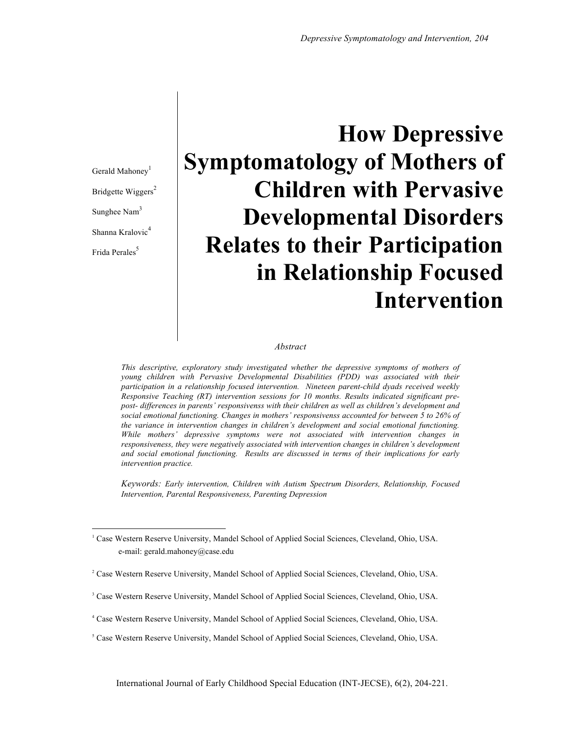Gerald Mahoney<sup>1</sup> Bridgette Wiggers<sup>2</sup> Sunghee Nam<sup>3</sup> Shanna Kralovic<sup>4</sup> Frida Perales<sup>5</sup>

# **How Depressive Symptomatology of Mothers of Children with Pervasive Developmental Disorders Relates to their Participation in Relationship Focused Intervention**

#### *Abstract*

*This descriptive, exploratory study investigated whether the depressive symptoms of mothers of young children with Pervasive Developmental Disabilities (PDD) was associated with their participation in a relationship focused intervention. Nineteen parent-child dyads received weekly Responsive Teaching (RT) intervention sessions for 10 months. Results indicated significant prepost- differences in parents' responsivenss with their children as well as children's development and social emotional functioning. Changes in mothers' responsivenss accounted for between 5 to 26% of the variance in intervention changes in children's development and social emotional functioning. While mothers' depressive symptoms were not associated with intervention changes in responsiveness, they were negatively associated with intervention changes in children's development and social emotional functioning. Results are discussed in terms of their implications for early intervention practice.* 

*Keywords: Early intervention, Children with Autism Spectrum Disorders, Relationship, Focused Intervention, Parental Responsiveness, Parenting Depression*

<sup>&</sup>lt;sup>1</sup> Case Western Reserve University, Mandel School of Applied Social Sciences, Cleveland, Ohio, USA. e-mail: gerald.mahoney@case.edu

<sup>&</sup>lt;sup>2</sup> Case Western Reserve University, Mandel School of Applied Social Sciences, Cleveland, Ohio, USA.

<sup>&</sup>lt;sup>3</sup> Case Western Reserve University, Mandel School of Applied Social Sciences, Cleveland, Ohio, USA.

<sup>4</sup> Case Western Reserve University, Mandel School of Applied Social Sciences, Cleveland, Ohio, USA.

<sup>5</sup> Case Western Reserve University, Mandel School of Applied Social Sciences, Cleveland, Ohio, USA.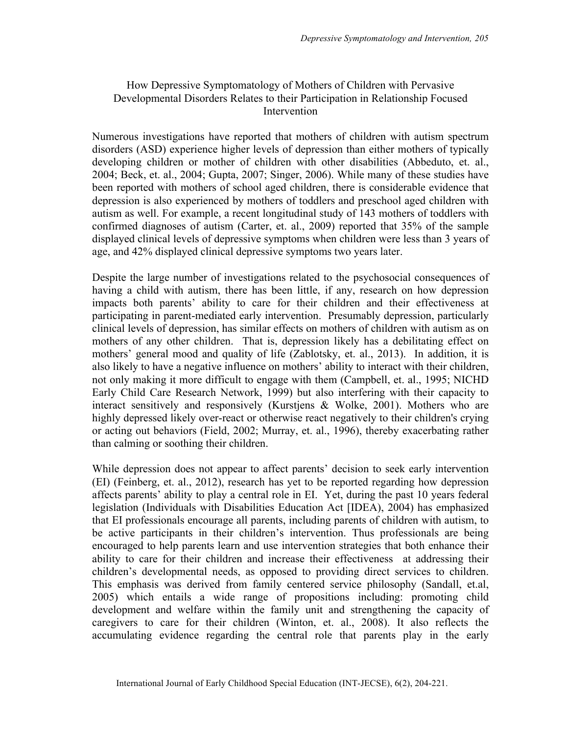# How Depressive Symptomatology of Mothers of Children with Pervasive Developmental Disorders Relates to their Participation in Relationship Focused Intervention

Numerous investigations have reported that mothers of children with autism spectrum disorders (ASD) experience higher levels of depression than either mothers of typically developing children or mother of children with other disabilities (Abbeduto, et. al., 2004; Beck, et. al., 2004; Gupta, 2007; Singer, 2006). While many of these studies have been reported with mothers of school aged children, there is considerable evidence that depression is also experienced by mothers of toddlers and preschool aged children with autism as well. For example, a recent longitudinal study of 143 mothers of toddlers with confirmed diagnoses of autism (Carter, et. al., 2009) reported that 35% of the sample displayed clinical levels of depressive symptoms when children were less than 3 years of age, and 42% displayed clinical depressive symptoms two years later.

Despite the large number of investigations related to the psychosocial consequences of having a child with autism, there has been little, if any, research on how depression impacts both parents' ability to care for their children and their effectiveness at participating in parent-mediated early intervention. Presumably depression, particularly clinical levels of depression, has similar effects on mothers of children with autism as on mothers of any other children. That is, depression likely has a debilitating effect on mothers' general mood and quality of life (Zablotsky, et. al., 2013). In addition, it is also likely to have a negative influence on mothers' ability to interact with their children, not only making it more difficult to engage with them (Campbell, et. al., 1995; NICHD Early Child Care Research Network, 1999) but also interfering with their capacity to interact sensitively and responsively (Kurstjens & Wolke, 2001). Mothers who are highly depressed likely over-react or otherwise react negatively to their children's crying or acting out behaviors (Field, 2002; Murray, et. al., 1996), thereby exacerbating rather than calming or soothing their children.

While depression does not appear to affect parents' decision to seek early intervention (EI) (Feinberg, et. al., 2012), research has yet to be reported regarding how depression affects parents' ability to play a central role in EI. Yet, during the past 10 years federal legislation (Individuals with Disabilities Education Act [IDEA), 2004) has emphasized that EI professionals encourage all parents, including parents of children with autism, to be active participants in their children's intervention. Thus professionals are being encouraged to help parents learn and use intervention strategies that both enhance their ability to care for their children and increase their effectiveness at addressing their children's developmental needs, as opposed to providing direct services to children. This emphasis was derived from family centered service philosophy (Sandall, et.al, 2005) which entails a wide range of propositions including: promoting child development and welfare within the family unit and strengthening the capacity of caregivers to care for their children (Winton, et. al., 2008). It also reflects the accumulating evidence regarding the central role that parents play in the early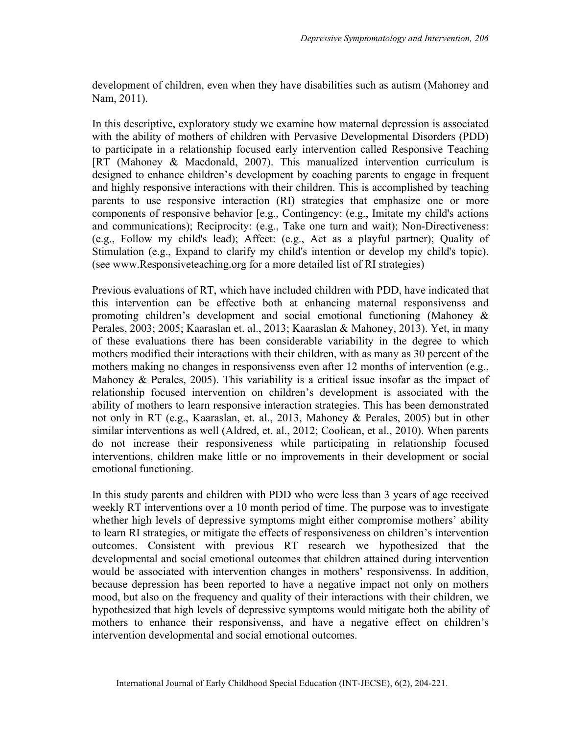development of children, even when they have disabilities such as autism (Mahoney and Nam, 2011).

In this descriptive, exploratory study we examine how maternal depression is associated with the ability of mothers of children with Pervasive Developmental Disorders (PDD) to participate in a relationship focused early intervention called Responsive Teaching [RT (Mahoney & Macdonald, 2007). This manualized intervention curriculum is designed to enhance children's development by coaching parents to engage in frequent and highly responsive interactions with their children. This is accomplished by teaching parents to use responsive interaction (RI) strategies that emphasize one or more components of responsive behavior [e.g., Contingency: (e.g., Imitate my child's actions and communications); Reciprocity: (e.g., Take one turn and wait); Non-Directiveness: (e.g., Follow my child's lead); Affect: (e.g., Act as a playful partner); Quality of Stimulation (e.g., Expand to clarify my child's intention or develop my child's topic). (see www.Responsiveteaching.org for a more detailed list of RI strategies)

Previous evaluations of RT, which have included children with PDD, have indicated that this intervention can be effective both at enhancing maternal responsivenss and promoting children's development and social emotional functioning (Mahoney & Perales, 2003; 2005; Kaaraslan et. al., 2013; Kaaraslan & Mahoney, 2013). Yet, in many of these evaluations there has been considerable variability in the degree to which mothers modified their interactions with their children, with as many as 30 percent of the mothers making no changes in responsivenss even after 12 months of intervention (e.g., Mahoney & Perales, 2005). This variability is a critical issue insofar as the impact of relationship focused intervention on children's development is associated with the ability of mothers to learn responsive interaction strategies. This has been demonstrated not only in RT (e.g., Kaaraslan, et. al., 2013, Mahoney & Perales, 2005) but in other similar interventions as well (Aldred, et. al., 2012; Coolican, et al., 2010). When parents do not increase their responsiveness while participating in relationship focused interventions, children make little or no improvements in their development or social emotional functioning.

In this study parents and children with PDD who were less than 3 years of age received weekly RT interventions over a 10 month period of time. The purpose was to investigate whether high levels of depressive symptoms might either compromise mothers' ability to learn RI strategies, or mitigate the effects of responsiveness on children's intervention outcomes. Consistent with previous RT research we hypothesized that the developmental and social emotional outcomes that children attained during intervention would be associated with intervention changes in mothers' responsivenss. In addition, because depression has been reported to have a negative impact not only on mothers mood, but also on the frequency and quality of their interactions with their children, we hypothesized that high levels of depressive symptoms would mitigate both the ability of mothers to enhance their responsivenss, and have a negative effect on children's intervention developmental and social emotional outcomes.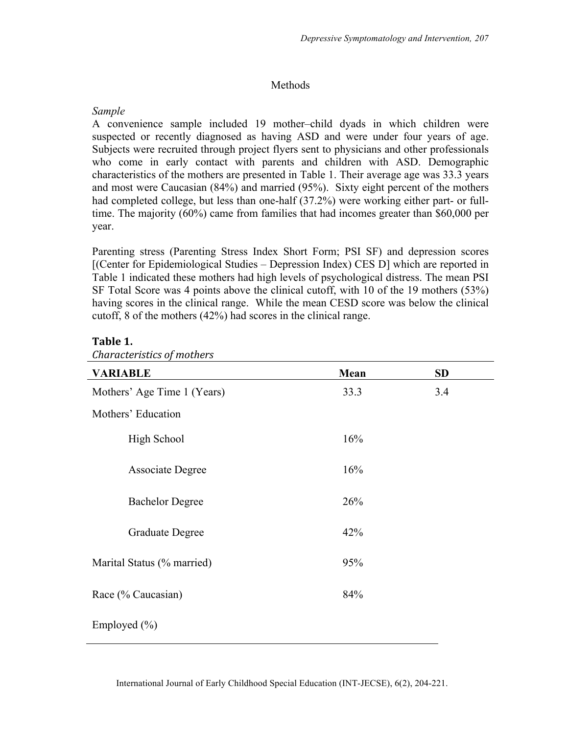# Methods

# *Sample*

A convenience sample included 19 mother–child dyads in which children were suspected or recently diagnosed as having ASD and were under four years of age. Subjects were recruited through project flyers sent to physicians and other professionals who come in early contact with parents and children with ASD. Demographic characteristics of the mothers are presented in Table 1. Their average age was 33.3 years and most were Caucasian (84%) and married (95%). Sixty eight percent of the mothers had completed college, but less than one-half (37.2%) were working either part- or fulltime. The majority (60%) came from families that had incomes greater than \$60,000 per year.

Parenting stress (Parenting Stress Index Short Form; PSI SF) and depression scores [(Center for Epidemiological Studies – Depression Index) CES D] which are reported in Table 1 indicated these mothers had high levels of psychological distress. The mean PSI SF Total Score was 4 points above the clinical cutoff, with 10 of the 19 mothers (53%) having scores in the clinical range. While the mean CESD score was below the clinical cutoff, 8 of the mothers (42%) had scores in the clinical range.

# Table 1.

| <b>VARIABLE</b>             | Mean | <b>SD</b> |
|-----------------------------|------|-----------|
| Mothers' Age Time 1 (Years) | 33.3 | 3.4       |
| Mothers' Education          |      |           |
| High School                 | 16%  |           |
| <b>Associate Degree</b>     | 16%  |           |
| <b>Bachelor Degree</b>      | 26%  |           |
| Graduate Degree             | 42%  |           |
| Marital Status (% married)  | 95%  |           |
| Race (% Caucasian)          | 84%  |           |
| Employed (%)                |      |           |

*Characteristics of mothers*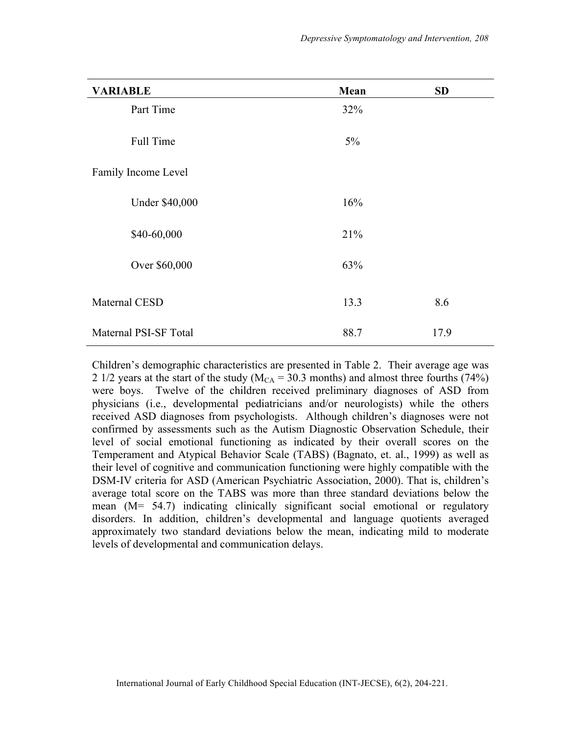| <b>VARIABLE</b>       | Mean  | <b>SD</b> |
|-----------------------|-------|-----------|
| Part Time             | 32%   |           |
| Full Time             | $5\%$ |           |
| Family Income Level   |       |           |
| <b>Under \$40,000</b> | 16%   |           |
| \$40-60,000           | 21%   |           |
| Over \$60,000         | 63%   |           |
| Maternal CESD         | 13.3  | 8.6       |
| Maternal PSI-SF Total | 88.7  | 17.9      |

Children's demographic characteristics are presented in Table 2. Their average age was 2 1/2 years at the start of the study ( $M_{CA} = 30.3$  months) and almost three fourths (74%) were boys. Twelve of the children received preliminary diagnoses of ASD from physicians (i.e., developmental pediatricians and/or neurologists) while the others received ASD diagnoses from psychologists. Although children's diagnoses were not confirmed by assessments such as the Autism Diagnostic Observation Schedule, their level of social emotional functioning as indicated by their overall scores on the Temperament and Atypical Behavior Scale (TABS) (Bagnato, et. al., 1999) as well as their level of cognitive and communication functioning were highly compatible with the DSM-IV criteria for ASD (American Psychiatric Association, 2000). That is, children's average total score on the TABS was more than three standard deviations below the mean (M= 54.7) indicating clinically significant social emotional or regulatory disorders. In addition, children's developmental and language quotients averaged approximately two standard deviations below the mean, indicating mild to moderate levels of developmental and communication delays.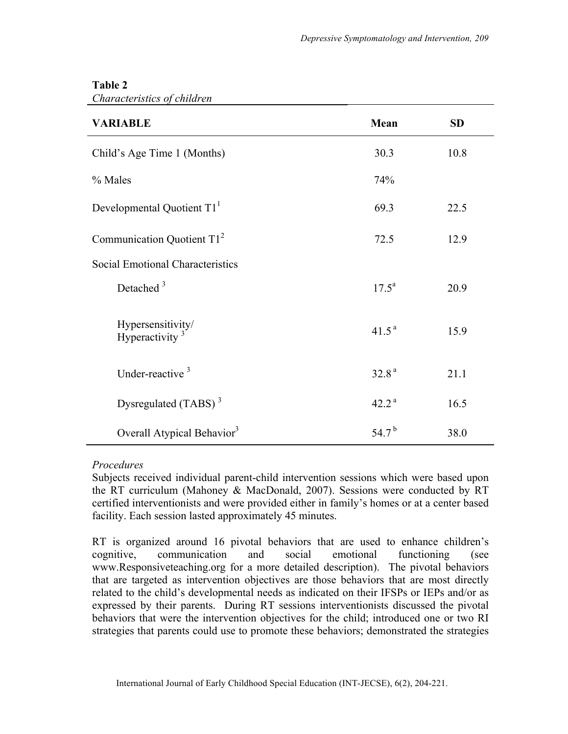| <b>VARIABLE</b>                                 | Mean              | <b>SD</b> |
|-------------------------------------------------|-------------------|-----------|
| Child's Age Time 1 (Months)                     | 30.3              | 10.8      |
| % Males                                         | 74%               |           |
| Developmental Quotient T1 <sup>1</sup>          | 69.3              | 22.5      |
| Communication Quotient $T12$                    | 72.5              | 12.9      |
| Social Emotional Characteristics                |                   |           |
| Detached $3$                                    | $17.5^{\rm a}$    | 20.9      |
| Hypersensitivity/<br>Hyperactivity <sup>3</sup> | 41.5 <sup>a</sup> | 15.9      |
| Under-reactive <sup>3</sup>                     | 32.8 <sup>a</sup> | 21.1      |
| Dysregulated (TABS) $3$                         | 42.2 <sup>a</sup> | 16.5      |
| Overall Atypical Behavior <sup>3</sup>          | 54.7 <sup>b</sup> | 38.0      |

# **Table 2**

*Characteristics of children* 

# *Procedures*

Subjects received individual parent-child intervention sessions which were based upon the RT curriculum (Mahoney & MacDonald, 2007). Sessions were conducted by RT certified interventionists and were provided either in family's homes or at a center based facility. Each session lasted approximately 45 minutes.

RT is organized around 16 pivotal behaviors that are used to enhance children's cognitive, communication and social emotional functioning (see www.Responsiveteaching.org for a more detailed description). The pivotal behaviors that are targeted as intervention objectives are those behaviors that are most directly related to the child's developmental needs as indicated on their IFSPs or IEPs and/or as expressed by their parents. During RT sessions interventionists discussed the pivotal behaviors that were the intervention objectives for the child; introduced one or two RI strategies that parents could use to promote these behaviors; demonstrated the strategies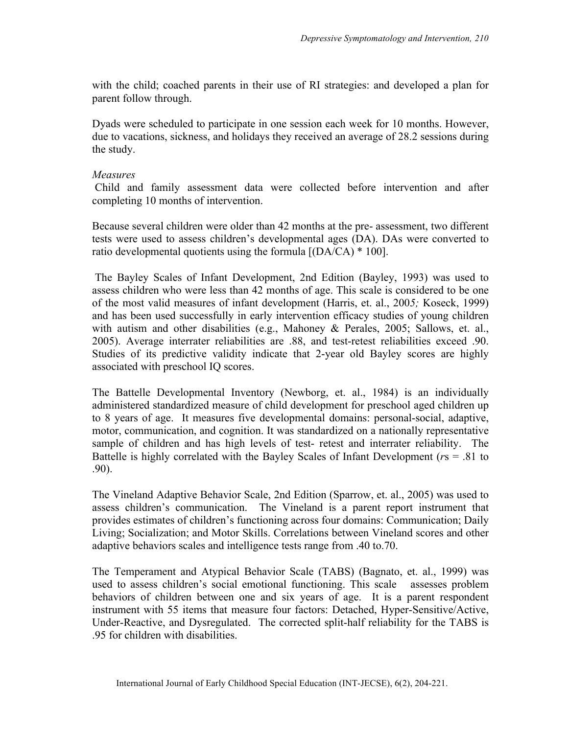with the child; coached parents in their use of RI strategies: and developed a plan for parent follow through.

Dyads were scheduled to participate in one session each week for 10 months. However, due to vacations, sickness, and holidays they received an average of 28.2 sessions during the study.

#### *Measures*

Child and family assessment data were collected before intervention and after completing 10 months of intervention.

Because several children were older than 42 months at the pre- assessment, two different tests were used to assess children's developmental ages (DA). DAs were converted to ratio developmental quotients using the formula [(DA/CA) \* 100].

The Bayley Scales of Infant Development, 2nd Edition (Bayley, 1993) was used to assess children who were less than 42 months of age. This scale is considered to be one of the most valid measures of infant development (Harris, et. al., 200*5;* Koseck, 1999) and has been used successfully in early intervention efficacy studies of young children with autism and other disabilities (e.g., Mahoney & Perales, 2005; Sallows, et. al., 2005). Average interrater reliabilities are .88, and test-retest reliabilities exceed .90. Studies of its predictive validity indicate that 2-year old Bayley scores are highly associated with preschool IQ scores.

The Battelle Developmental Inventory (Newborg, et. al., 1984) is an individually administered standardized measure of child development for preschool aged children up to 8 years of age. It measures five developmental domains: personal-social, adaptive, motor, communication, and cognition. It was standardized on a nationally representative sample of children and has high levels of test- retest and interrater reliability. The Battelle is highly correlated with the Bayley Scales of Infant Development (*r*s = .81 to .90).

The Vineland Adaptive Behavior Scale, 2nd Edition (Sparrow, et. al., 2005) was used to assess children's communication. The Vineland is a parent report instrument that provides estimates of children's functioning across four domains: Communication; Daily Living; Socialization; and Motor Skills. Correlations between Vineland scores and other adaptive behaviors scales and intelligence tests range from .40 to.70.

The Temperament and Atypical Behavior Scale (TABS) (Bagnato, et. al., 1999) was used to assess children's social emotional functioning. This scale assesses problem behaviors of children between one and six years of age. It is a parent respondent instrument with 55 items that measure four factors: Detached, Hyper-Sensitive/Active, Under-Reactive, and Dysregulated. The corrected split-half reliability for the TABS is .95 for children with disabilities.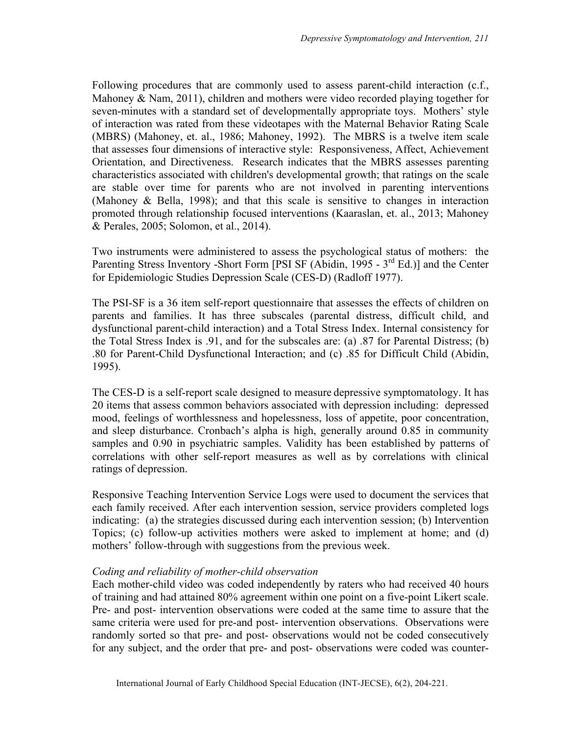Following procedures that are commonly used to assess parent-child interaction (c.f., Mahoney & Nam, 2011), children and mothers were video recorded playing together for seven-minutes with a standard set of developmentally appropriate toys. Mothers' style of interaction was rated from these videotapes with the Maternal Behavior Rating Scale (MBRS) (Mahoney, et. al., 1986; Mahoney, 1992). The MBRS is a twelve item scale that assesses four dimensions of interactive style: Responsiveness, Affect, Achievement Orientation, and Directiveness. Research indicates that the MBRS assesses parenting characteristics associated with children's developmental growth; that ratings on the scale are stable over time for parents who are not involved in parenting interventions (Mahoney & Bella, 1998); and that this scale is sensitive to changes in interaction promoted through relationship focused interventions (Kaaraslan, et. al., 2013; Mahoney & Perales, 2005; Solomon, et al., 2014).

Two instruments were administered to assess the psychological status of mothers: the Parenting Stress Inventory -Short Form [PSI SF (Abidin, 1995 - 3<sup>rd</sup> Ed.)] and the Center for Epidemiologic Studies Depression Scale (CES-D) (Radloff 1977).

The PSI-SF is a 36 item self-report questionnaire that assesses the effects of children on parents and families. It has three subscales (parental distress, difficult child, and dysfunctional parent-child interaction) and a Total Stress Index. Internal consistency for the Total Stress Index is .91, and for the subscales are: (a) .87 for Parental Distress; (b) .80 for Parent-Child Dysfunctional Interaction; and (c) .85 for Difficult Child (Abidin, 1995).

The CES-D is a self-report scale designed to measure depressive symptomatology. It has 20 items that assess common behaviors associated with depression including: depressed mood, feelings of worthlessness and hopelessness, loss of appetite, poor concentration, and sleep disturbance. Cronbach's alpha is high, generally around 0.85 in community samples and 0.90 in psychiatric samples. Validity has been established by patterns of correlations with other self-report measures as well as by correlations with clinical ratings of depression.

Responsive Teaching Intervention Service Logs were used to document the services that each family received. After each intervention session, service providers completed logs indicating: (a) the strategies discussed during each intervention session; (b) Intervention Topics; (c) follow-up activities mothers were asked to implement at home; and (d) mothers' follow-through with suggestions from the previous week.

#### *Coding and reliability of mother-child observation*

Each mother-child video was coded independently by raters who had received 40 hours of training and had attained 80% agreement within one point on a five-point Likert scale. Pre- and post- intervention observations were coded at the same time to assure that the same criteria were used for pre-and post- intervention observations. Observations were randomly sorted so that pre- and post- observations would not be coded consecutively for any subject, and the order that pre- and post- observations were coded was counter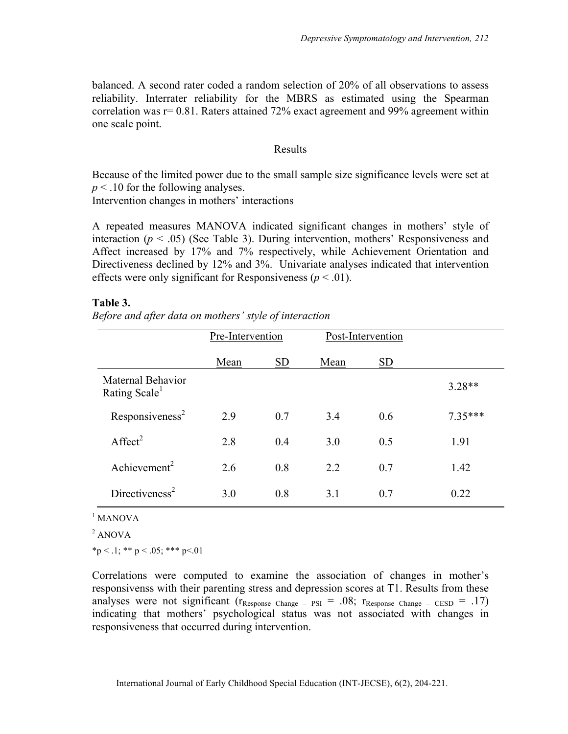balanced. A second rater coded a random selection of 20% of all observations to assess reliability. Interrater reliability for the MBRS as estimated using the Spearman correlation was  $r = 0.81$ . Raters attained 72% exact agreement and 99% agreement within one scale point.

#### Results

Because of the limited power due to the small sample size significance levels were set at *p* < .10 for the following analyses.

Intervention changes in mothers' interactions

A repeated measures MANOVA indicated significant changes in mothers' style of interaction ( $p < .05$ ) (See Table 3). During intervention, mothers' Responsiveness and Affect increased by 17% and 7% respectively, while Achievement Orientation and Directiveness declined by 12% and 3%. Univariate analyses indicated that intervention effects were only significant for Responsiveness ( $p < .01$ ).

#### **Table 3.**

*Before and after data on mothers' style of interaction*

|                                                | Pre-Intervention |           | Post-Intervention |           |           |
|------------------------------------------------|------------------|-----------|-------------------|-----------|-----------|
|                                                | Mean             | <b>SD</b> | Mean              | <b>SD</b> |           |
| Maternal Behavior<br>Rating Scale <sup>1</sup> |                  |           |                   |           | $3.28**$  |
| Responsiveness <sup>2</sup>                    | 2.9              | 0.7       | 3.4               | 0.6       | $7.35***$ |
| Affect <sup>2</sup>                            | 2.8              | 0.4       | 3.0               | 0.5       | 1.91      |
| Achievement <sup>2</sup>                       | 2.6              | 0.8       | 2.2               | 0.7       | 1.42      |
| Directiveness <sup>2</sup>                     | 3.0              | 0.8       | 3.1               | 0.7       | 0.22      |

#### $1$  MANOVA

<sup>2</sup> ANOVA

 $*p < 0.1; ** p < 0.05; ** p < 0.01$ 

Correlations were computed to examine the association of changes in mother's responsivenss with their parenting stress and depression scores at T1. Results from these analyses were not significant ( $r_{\text{Response Change}} - \text{psI} = .08$ ;  $r_{\text{Response Change}} - \text{CESD} = .17$ ) indicating that mothers' psychological status was not associated with changes in responsiveness that occurred during intervention.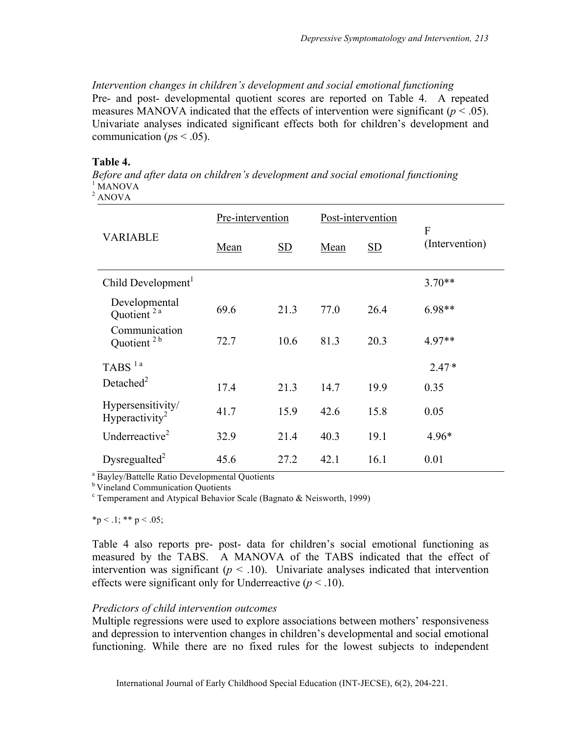# *Intervention changes in children's development and social emotional functioning*

Pre- and post- developmental quotient scores are reported on Table 4. A repeated measures MANOVA indicated that the effects of intervention were significant ( $p < .05$ ). Univariate analyses indicated significant effects both for children's development and communication ( $ps < .05$ ).

#### **Table 4.**

*Before and after data on children's development and social emotional functioning*<sup>1</sup> MANOVA  $2$  ANOVA

| <b>VARIABLE</b>                                 | Pre-intervention |           | Post-intervention |           | $\overline{F}$ |  |
|-------------------------------------------------|------------------|-----------|-------------------|-----------|----------------|--|
|                                                 | Mean             | <b>SD</b> | Mean              | <b>SD</b> | (Intervention) |  |
| Child Development <sup>1</sup>                  |                  |           |                   |           | $3.70**$       |  |
| Developmental<br>Quotient <sup>2a</sup>         | 69.6             | 21.3      | 77.0              | 26.4      | 6.98**         |  |
| Communication<br>Quotient <sup>2b</sup>         | 72.7             | 10.6      | 81.3              | 20.3      | 4.97**         |  |
| TABS <sup>1a</sup>                              |                  |           |                   |           | $2.47*$        |  |
| Detached $2$                                    | 17.4             | 21.3      | 14.7              | 19.9      | 0.35           |  |
| Hypersensitivity/<br>Hyperactivity <sup>2</sup> | 41.7             | 15.9      | 42.6              | 15.8      | 0.05           |  |
| Underreactive <sup>2</sup>                      | 32.9             | 21.4      | 40.3              | 19.1      | $4.96*$        |  |
| Dysregualted <sup>2</sup>                       | 45.6             | 27.2      | 42.1              | 16.1      | 0.01           |  |

<sup>a</sup> Bayley/Battelle Ratio Developmental Quotients

**b** Vineland Communication Quotients

 $\textdegree$  Temperament and Atypical Behavior Scale (Bagnato & Neisworth, 1999)

 $*p < 0.1; ** p < 0.05;$ 

Table 4 also reports pre- post- data for children's social emotional functioning as measured by the TABS. A MANOVA of the TABS indicated that the effect of intervention was significant  $(p < .10)$ . Univariate analyses indicated that intervention effects were significant only for Underreactive  $(p < 0.10)$ .

#### *Predictors of child intervention outcomes*

Multiple regressions were used to explore associations between mothers' responsiveness and depression to intervention changes in children's developmental and social emotional functioning. While there are no fixed rules for the lowest subjects to independent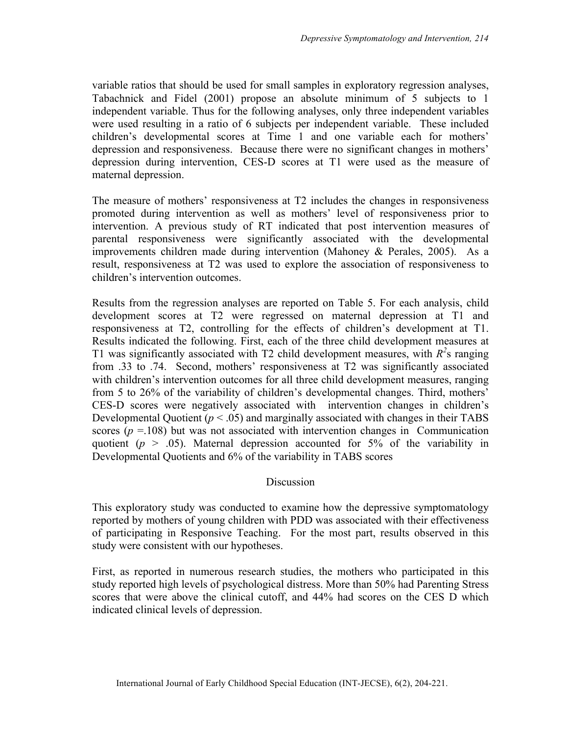variable ratios that should be used for small samples in exploratory regression analyses, Tabachnick and Fidel (2001) propose an absolute minimum of 5 subjects to 1 independent variable. Thus for the following analyses, only three independent variables were used resulting in a ratio of 6 subjects per independent variable. These included children's developmental scores at Time 1 and one variable each for mothers' depression and responsiveness. Because there were no significant changes in mothers' depression during intervention, CES-D scores at T1 were used as the measure of maternal depression.

The measure of mothers' responsiveness at T2 includes the changes in responsiveness promoted during intervention as well as mothers' level of responsiveness prior to intervention. A previous study of RT indicated that post intervention measures of parental responsiveness were significantly associated with the developmental improvements children made during intervention (Mahoney & Perales, 2005). As a result, responsiveness at T2 was used to explore the association of responsiveness to children's intervention outcomes.

Results from the regression analyses are reported on Table 5. For each analysis, child development scores at T2 were regressed on maternal depression at T1 and responsiveness at T2, controlling for the effects of children's development at T1. Results indicated the following. First, each of the three child development measures at T1 was significantly associated with T2 child development measures, with  $R^2$ s ranging from .33 to .74. Second, mothers' responsiveness at T2 was significantly associated with children's intervention outcomes for all three child development measures, ranging from 5 to 26% of the variability of children's developmental changes. Third, mothers' CES-D scores were negatively associated with intervention changes in children's Developmental Quotient  $(p < .05)$  and marginally associated with changes in their TABS scores ( $p = 108$ ) but was not associated with intervention changes in Communication quotient ( $p > .05$ ). Maternal depression accounted for 5% of the variability in Developmental Quotients and 6% of the variability in TABS scores

#### **Discussion**

This exploratory study was conducted to examine how the depressive symptomatology reported by mothers of young children with PDD was associated with their effectiveness of participating in Responsive Teaching. For the most part, results observed in this study were consistent with our hypotheses.

First, as reported in numerous research studies, the mothers who participated in this study reported high levels of psychological distress. More than 50% had Parenting Stress scores that were above the clinical cutoff, and 44% had scores on the CES D which indicated clinical levels of depression.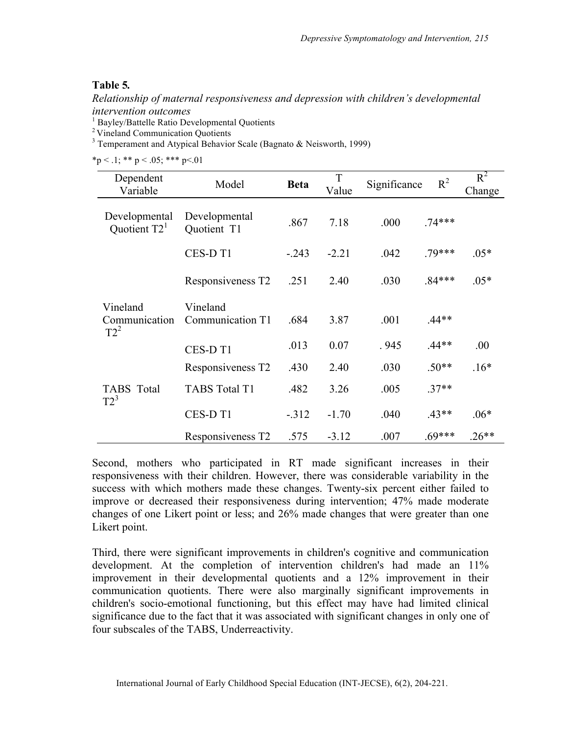# **Table 5***.*

*Relationship of maternal responsiveness and depression with children's developmental* 

*intervention outcomes*<br><sup>1</sup> Bayley/Battelle Ratio Developmental Quotients<br><sup>2</sup> Vineland Communication Quotients

<sup>3</sup> Temperament and Atypical Behavior Scale (Bagnato & Neisworth, 1999)

 $*_p$  < .1; \*\* p < .05; \*\*\* p < .01

| Dependent<br>Variable           | Model                         | <b>Beta</b> | T<br>Value | Significance | $R^2$    | $R^2$<br>Change |
|---------------------------------|-------------------------------|-------------|------------|--------------|----------|-----------------|
|                                 |                               |             |            |              |          |                 |
| Developmental<br>Quotient $T21$ | Developmental<br>Quotient T1  | .867        | 7.18       | .000         | $.74***$ |                 |
|                                 | CES-D T1                      | $-.243$     | $-2.21$    | .042         | $.79***$ | $.05*$          |
|                                 | Responsiveness T <sub>2</sub> | .251        | 2.40       | .030         | $.84***$ | $.05*$          |
| Vineland                        | Vineland                      |             |            |              |          |                 |
| Communication<br>$T2^2$         | Communication T1              | .684        | 3.87       | .001         | $.44**$  |                 |
|                                 | CES-D <sub>T1</sub>           | .013        | 0.07       | .945         | $.44**$  | .00             |
|                                 | Responsiveness T2             | .430        | 2.40       | .030         | $.50**$  | $.16*$          |
| <b>TABS</b> Total<br>$T2^3$     | <b>TABS Total T1</b>          | .482        | 3.26       | .005         | $.37**$  |                 |
|                                 | CES-D <sub>T1</sub>           | $-312$      | $-1.70$    | .040         | $.43**$  | $.06*$          |
|                                 | Responsiveness T2             | .575        | $-3.12$    | .007         | $.69***$ | $.26**$         |

Second, mothers who participated in RT made significant increases in their responsiveness with their children. However, there was considerable variability in the success with which mothers made these changes. Twenty-six percent either failed to improve or decreased their responsiveness during intervention; 47% made moderate changes of one Likert point or less; and 26% made changes that were greater than one Likert point.

Third, there were significant improvements in children's cognitive and communication development. At the completion of intervention children's had made an 11% improvement in their developmental quotients and a 12% improvement in their communication quotients. There were also marginally significant improvements in children's socio-emotional functioning, but this effect may have had limited clinical significance due to the fact that it was associated with significant changes in only one of four subscales of the TABS, Underreactivity.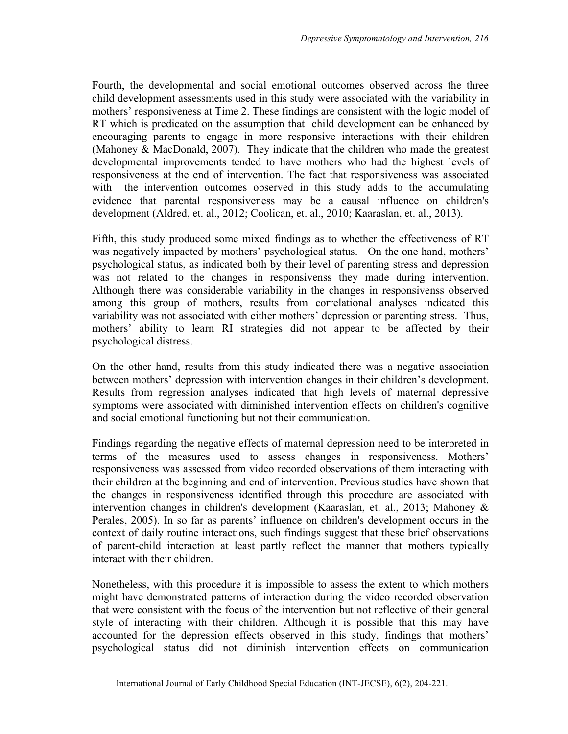Fourth, the developmental and social emotional outcomes observed across the three child development assessments used in this study were associated with the variability in mothers' responsiveness at Time 2. These findings are consistent with the logic model of RT which is predicated on the assumption that child development can be enhanced by encouraging parents to engage in more responsive interactions with their children (Mahoney & MacDonald, 2007). They indicate that the children who made the greatest developmental improvements tended to have mothers who had the highest levels of responsiveness at the end of intervention. The fact that responsiveness was associated with the intervention outcomes observed in this study adds to the accumulating evidence that parental responsiveness may be a causal influence on children's development (Aldred, et. al., 2012; Coolican, et. al., 2010; Kaaraslan, et. al., 2013).

Fifth, this study produced some mixed findings as to whether the effectiveness of RT was negatively impacted by mothers' psychological status. On the one hand, mothers' psychological status, as indicated both by their level of parenting stress and depression was not related to the changes in responsivenss they made during intervention. Although there was considerable variability in the changes in responsivenss observed among this group of mothers, results from correlational analyses indicated this variability was not associated with either mothers' depression or parenting stress. Thus, mothers' ability to learn RI strategies did not appear to be affected by their psychological distress.

On the other hand, results from this study indicated there was a negative association between mothers' depression with intervention changes in their children's development. Results from regression analyses indicated that high levels of maternal depressive symptoms were associated with diminished intervention effects on children's cognitive and social emotional functioning but not their communication.

Findings regarding the negative effects of maternal depression need to be interpreted in terms of the measures used to assess changes in responsiveness. Mothers' responsiveness was assessed from video recorded observations of them interacting with their children at the beginning and end of intervention. Previous studies have shown that the changes in responsiveness identified through this procedure are associated with intervention changes in children's development (Kaaraslan, et. al., 2013; Mahoney & Perales, 2005). In so far as parents' influence on children's development occurs in the context of daily routine interactions, such findings suggest that these brief observations of parent-child interaction at least partly reflect the manner that mothers typically interact with their children.

Nonetheless, with this procedure it is impossible to assess the extent to which mothers might have demonstrated patterns of interaction during the video recorded observation that were consistent with the focus of the intervention but not reflective of their general style of interacting with their children. Although it is possible that this may have accounted for the depression effects observed in this study, findings that mothers' psychological status did not diminish intervention effects on communication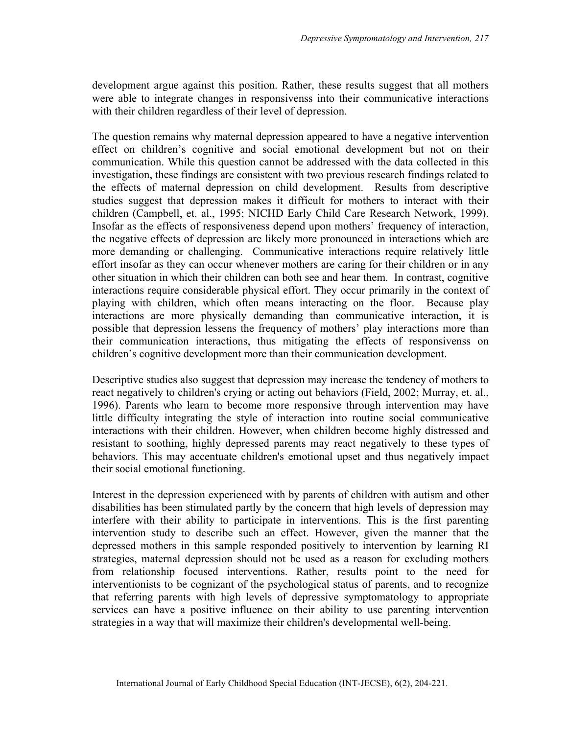development argue against this position. Rather, these results suggest that all mothers were able to integrate changes in responsivenss into their communicative interactions with their children regardless of their level of depression.

The question remains why maternal depression appeared to have a negative intervention effect on children's cognitive and social emotional development but not on their communication. While this question cannot be addressed with the data collected in this investigation, these findings are consistent with two previous research findings related to the effects of maternal depression on child development. Results from descriptive studies suggest that depression makes it difficult for mothers to interact with their children (Campbell, et. al., 1995; NICHD Early Child Care Research Network, 1999). Insofar as the effects of responsiveness depend upon mothers' frequency of interaction, the negative effects of depression are likely more pronounced in interactions which are more demanding or challenging. Communicative interactions require relatively little effort insofar as they can occur whenever mothers are caring for their children or in any other situation in which their children can both see and hear them. In contrast, cognitive interactions require considerable physical effort. They occur primarily in the context of playing with children, which often means interacting on the floor. Because play interactions are more physically demanding than communicative interaction, it is possible that depression lessens the frequency of mothers' play interactions more than their communication interactions, thus mitigating the effects of responsivenss on children's cognitive development more than their communication development.

Descriptive studies also suggest that depression may increase the tendency of mothers to react negatively to children's crying or acting out behaviors (Field, 2002; Murray, et. al., 1996). Parents who learn to become more responsive through intervention may have little difficulty integrating the style of interaction into routine social communicative interactions with their children. However, when children become highly distressed and resistant to soothing, highly depressed parents may react negatively to these types of behaviors. This may accentuate children's emotional upset and thus negatively impact their social emotional functioning.

Interest in the depression experienced with by parents of children with autism and other disabilities has been stimulated partly by the concern that high levels of depression may interfere with their ability to participate in interventions. This is the first parenting intervention study to describe such an effect. However, given the manner that the depressed mothers in this sample responded positively to intervention by learning RI strategies, maternal depression should not be used as a reason for excluding mothers from relationship focused interventions. Rather, results point to the need for interventionists to be cognizant of the psychological status of parents, and to recognize that referring parents with high levels of depressive symptomatology to appropriate services can have a positive influence on their ability to use parenting intervention strategies in a way that will maximize their children's developmental well-being.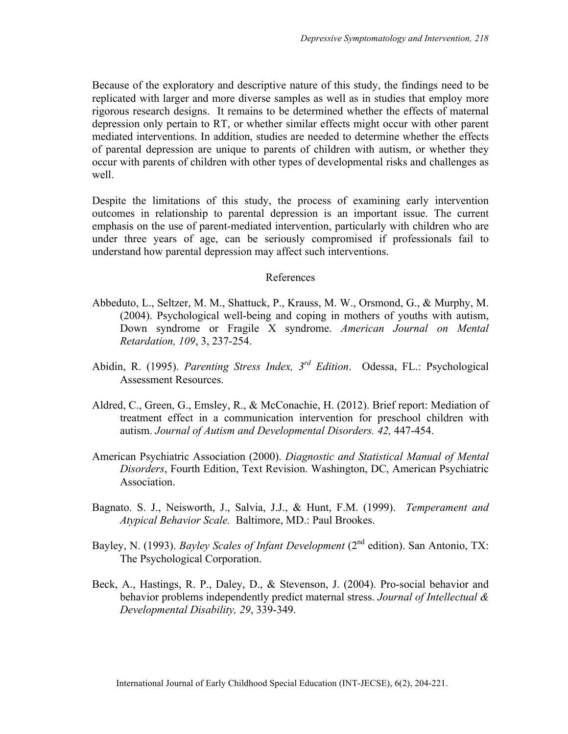Because of the exploratory and descriptive nature of this study, the findings need to be replicated with larger and more diverse samples as well as in studies that employ more rigorous research designs. It remains to be determined whether the effects of maternal depression only pertain to RT, or whether similar effects might occur with other parent mediated interventions. In addition, studies are needed to determine whether the effects of parental depression are unique to parents of children with autism, or whether they occur with parents of children with other types of developmental risks and challenges as well.

Despite the limitations of this study, the process of examining early intervention outcomes in relationship to parental depression is an important issue. The current emphasis on the use of parent-mediated intervention, particularly with children who are under three years of age, can be seriously compromised if professionals fail to understand how parental depression may affect such interventions.

#### References

- Abbeduto, L., Seltzer, M. M., Shattuck, P., Krauss, M. W., Orsmond, G., & Murphy, M. (2004). Psychological well-being and coping in mothers of youths with autism, Down syndrome or Fragile X syndrome. *American Journal on Mental Retardation, 109*, 3, 237-254.
- Abidin, R. (1995). *Parenting Stress Index, 3rd Edition*. Odessa, FL.: Psychological Assessment Resources.
- Aldred, C., Green, G., Emsley, R., & McConachie, H. (2012). Brief report: Mediation of treatment effect in a communication intervention for preschool children with autism. *Journal of Autism and Developmental Disorders. 42,* 447-454.
- American Psychiatric Association (2000). *Diagnostic and Statistical Manual of Mental Disorders*, Fourth Edition, Text Revision. Washington, DC, American Psychiatric Association.
- Bagnato. S. J., Neisworth, J., Salvia, J.J., & Hunt, F.M. (1999). *Temperament and Atypical Behavior Scale.* Baltimore, MD.: Paul Brookes.
- Bayley, N. (1993). *Bayley Scales of Infant Development* (2<sup>nd</sup> edition). San Antonio, TX: The Psychological Corporation.
- Beck, A., Hastings, R. P., Daley, D., & Stevenson, J. (2004). Pro-social behavior and behavior problems independently predict maternal stress. *Journal of Intellectual & Developmental Disability, 29*, 339-349.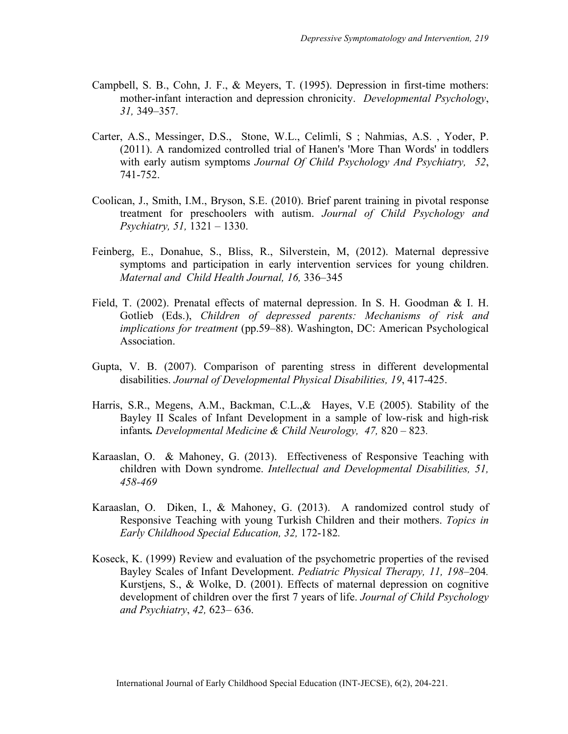- Campbell, S. B., Cohn, J. F., & Meyers, T. (1995). Depression in first-time mothers: mother-infant interaction and depression chronicity. *Developmental Psychology*, *31,* 349–357.
- Carter, A.S., Messinger, D.S., Stone, W.L., Celimli, S ; Nahmias, A.S. , Yoder, P. (2011). A randomized controlled trial of Hanen's 'More Than Words' in toddlers with early autism symptoms *Journal Of Child Psychology And Psychiatry, 52*, 741-752.
- Coolican, J., Smith, I.M., Bryson, S.E. (2010). Brief parent training in pivotal response treatment for preschoolers with autism. *Journal of Child Psychology and Psychiatry, 51,* 1321 – 1330.
- Feinberg, E., Donahue, S., Bliss, R., Silverstein, M, (2012). Maternal depressive symptoms and participation in early intervention services for young children. *Maternal and Child Health Journal, 16,* 336–345
- Field, T. (2002). Prenatal effects of maternal depression. In S. H. Goodman & I. H. Gotlieb (Eds.), *Children of depressed parents: Mechanisms of risk and implications for treatment* (pp.59–88). Washington, DC: American Psychological Association.
- Gupta, V. B. (2007). Comparison of parenting stress in different developmental disabilities. *Journal of Developmental Physical Disabilities, 19*, 417-425.
- Harris, S.R., Megens, A.M., Backman, C.L.,& Hayes, V.E (2005). Stability of the Bayley II Scales of Infant Development in a sample of low-risk and high-risk infants*. Developmental Medicine & Child Neurology, 47,* 820 – 823*.*
- Karaaslan, O. & Mahoney, G. (2013). Effectiveness of Responsive Teaching with children with Down syndrome. *Intellectual and Developmental Disabilities, 51, 458-469*
- Karaaslan, O. Diken, I., & Mahoney, G. (2013). A randomized control study of Responsive Teaching with young Turkish Children and their mothers. *Topics in Early Childhood Special Education, 32,* 172-182*.*
- Koseck, K. (1999) Review and evaluation of the psychometric properties of the revised Bayley Scales of Infant Development. *Pediatric Physical Therapy, 11, 198*–204*.* Kurstjens, S., & Wolke, D. (2001). Effects of maternal depression on cognitive development of children over the first 7 years of life. *Journal of Child Psychology and Psychiatry*, *42,* 623– 636.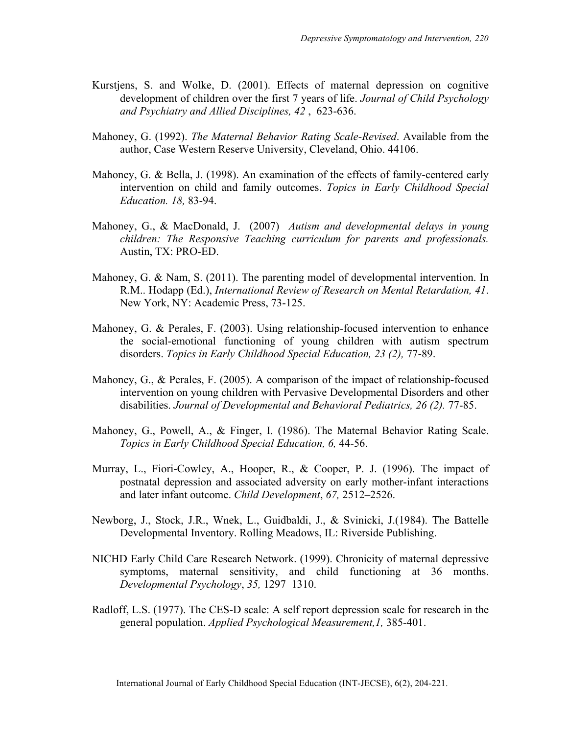- Kurstjens, S. and Wolke, D. (2001). Effects of maternal depression on cognitive development of children over the first 7 years of life. *Journal of Child Psychology and Psychiatry and Allied Disciplines, 42* , 623-636.
- Mahoney, G. (1992). *The Maternal Behavior Rating Scale-Revised*. Available from the author, Case Western Reserve University, Cleveland, Ohio. 44106.
- Mahoney, G. & Bella, J. (1998). An examination of the effects of family-centered early intervention on child and family outcomes. *Topics in Early Childhood Special Education. 18,* 83-94.
- Mahoney, G., & MacDonald, J. (2007) *Autism and developmental delays in young children: The Responsive Teaching curriculum for parents and professionals.* Austin, TX: PRO-ED.
- Mahoney, G. & Nam, S. (2011). The parenting model of developmental intervention. In R.M.. Hodapp (Ed.), *International Review of Research on Mental Retardation, 41*. New York, NY: Academic Press, 73-125.
- Mahoney, G. & Perales, F. (2003). Using relationship-focused intervention to enhance the social-emotional functioning of young children with autism spectrum disorders. *Topics in Early Childhood Special Education, 23 (2),* 77-89.
- Mahoney, G., & Perales, F. (2005). A comparison of the impact of relationship-focused intervention on young children with Pervasive Developmental Disorders and other disabilities. *Journal of Developmental and Behavioral Pediatrics, 26 (2).* 77-85.
- Mahoney, G., Powell, A., & Finger, I. (1986). The Maternal Behavior Rating Scale. *Topics in Early Childhood Special Education, 6,* 44-56.
- Murray, L., Fiori-Cowley, A., Hooper, R., & Cooper, P. J. (1996). The impact of postnatal depression and associated adversity on early mother-infant interactions and later infant outcome. *Child Development*, *67,* 2512–2526.
- Newborg, J., Stock, J.R., Wnek, L., Guidbaldi, J., & Svinicki, J.(1984). The Battelle Developmental Inventory. Rolling Meadows, IL: Riverside Publishing.
- NICHD Early Child Care Research Network. (1999). Chronicity of maternal depressive symptoms, maternal sensitivity, and child functioning at 36 months. *Developmental Psychology*, *35,* 1297–1310.
- Radloff, L.S. (1977). The CES-D scale: A self report depression scale for research in the general population. *Applied Psychological Measurement,1,* 385-401.

International Journal of Early Childhood Special Education (INT-JECSE), 6(2), 204-221.